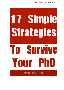

**Next Scientist**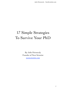Julio Peironcely - NextScientist.com

# 17 Simple Strategies To Survive Your PhD

By Julio Peironcely Founder of Next Scientist [nextscientist.com](http://nextscientist.com)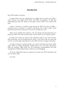## **Introduction**

Dear PhD student, welcome.

I suspect that if you are reading this you might want to survive your PhD. I call it survive. You might call it finish your PhD. Or graduate. Or take this unbearable pain from me. What we can agree is that a PhD is not a walk in the park.

I know it because I wanted to quit during my PhD and start an MBA. I wanted to go to a company. I wanted to stay home and cry like a baby. I have been there and I know your pain. Let's see if I can help you a bit.

Allow me to simplify the situation a bit. Two things will guarantee that you finish your PhD. First, that you don't quit. Second, that you are a good scientist.

In order not to quit you need to stay motivated. And as you and me know, PhD motivation can hit unexpected low levels. I will share with you some tips on how to set the right expectations for your PhD and how to regain motivation.

In order to become a good scientist, you need to develop some basic skills. Some relate to writing, presenting, reading and so on, you know, the typical skills for scientist. Other skills are not commonly recommended, like time management, health enhancement, software use and blogging.

All in all, I think these tips are a good mix to boost your PhD motivation and your scientific skills.

Let's start.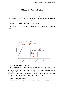## **5 Phases Of PhD Motivation**

The motivation during your PhD is not constant, it resembles the shape of a roller coaster. It's all ups and downs. A PhD combines moments of extreme happiness with periods of suicidal thoughts.

The ideal mental state, obviously, lies in between.

Let's have a look at how your motivation will fluctuate during your PhD years.



#### **Phase 1: Uninformed Optimism**

You start your PhD, everything is new and you find your project really cool. It feels like you are going to solve a big problem and you might get a big prize if you are ambitious and work well, maybe a patent, maybe a paper in a high impact journal. Sounds familiar? It is a similar feeling to starting in a new job, everybody is nicer than in the previous job and it is by far better organized. Well, give it some months, you'll realize it is not that great.

#### **Phase 2: Informed Pessimism**

You have worked for some time on your project, you understand the field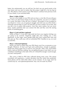better, but unfortunately you are still lost. You don't see any good results in the near future and you start to realize that this project might be a bit too big for you. This phase is more severe if your PhD doesn't continue from previous work in your master, if you switched fields.

#### **Phase 3: Valley Of Shit**

You are in the middle of your PhD and you have a crisis like 40-year-old guys have. Since you don't have money to buy you a Porsche, you just cry in silence in a corner. You think "Is this all? Am I a failure?" The project is not as pinkful as you dreamt it, in fact, you are going to struggle and work your ass off to finish a minimally decent body of work. You feel that you have wasted a lot of time, that you did a lot of useless little projects. Now they seem useless, but you never know, maybe sometime later you connect the dots and they were the starting points of something great.

#### **Phase 4: Crash and Burn (optional)**

While at Phase 3, if you don't step aside fast from your negative feelings you are going to be screwed. Negativity might take over, leading you a mini depression. At this stage, many people think they have wasted their time and they give up. They walk away with an unfinished PhD. Needless to say, we want to avoid this.

#### **Phase 5: Informed Optimism**

Slowly you start to realize that your PhD thesis won't be as awesome as you thought. Whatever. At least you'll get some publications, enough to graduate. Maybe the Nature paper has to wait for your post-doc. Who cares. You'd better finish a half-ass Phd than nothing. You are getting the grip of your field, you can contribute (something) to the state of the art. It should be enough. Good enough, you don't need perfect.

This curve is fitted to PhD data collected during many years. This means everybody will experience a certain deviation from the values here predicted. Some phases will be mild while others can be extreme. At any stage, don't be carried away by over-optimism/pessimism. Stay cool, be water my friend.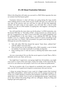## **It's All About Frustration Tolerance**

What is the thing that will make you succeed in a PhD? What separates the men (or women) from the boys(or girls)?

Frustration tolerance is what will keep you going during the long months when nothing seems to work. Some of your results will suck, you will screw up one step of the process and you will have to redo all from the beginning, referees will reject some of your papers, you will look like a fool at some meetings; it is fate of a PhD student. Accepting that "shit happens" will keep the engine running.

You will need this the most when you hit the phase 3 of PhD motivation, aka the feared "PhD dip" or "The Valley of Shit". At that moment you will be close to give up, it happened to me. After 2 years in the PhD, zero papers published, and no accomplishment in the near future, I was suffering the PhD dip. During months I was in a negative mood, which caused of course everything to get worst and worst. As a result, I did not produce any good work during the time. What got me out of the situation was:

- Talk with other PhD that shared the typical "been there, suffered that" with the added "overcame that".
- Have several one on one meetings with a PhD counselor, a sort of shrink for students. If you take it seriously it can help you big time.
- Keep working even if I did not want to, thinking that better times would come.

Are you a team player? Do you like the social aspects of work? Then a PhD is definitely not for you. Yeah, not for you.

You might have 3 supervisors, your group might have 40 members, you might even work in a team of the same topic. It does not matter. At the end of the day, each of us care about our own project. Each of us care about our publications.

This has its positive side. If you depend on somebody else's project, and he fails, you fail. So it is good not to expose to unnecessary risk your success.

I chose my project because it was a part of a bigger project that involved other PhDs and postdocs, which itself was at the core of a group of projects. All of this was a futile attempt to minimize the loneliness of the PhD, and I have to admit that it was a failure. Even in such an interdependent group, I spend most of my days without discussing things with my colleagues, doing my thing and hoping to get some papers out.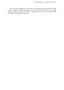You will feel frustrated, you will lose your motivation. At that moment, think of the 5 Phases of PhD Motivation. Do not quit. You know that if you keep working things will improve. Results will come. You will see your path with recovered (and informed) optimism.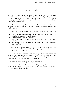# **Learn The Rules**

Your goal is to finish your PhD. In order to finish your PhD your Professor has to be satisfied with your research. He has to be confident that you did good work, that you are scientifically mature to be considered a PhD. Then he has to propose you to defend your thesis, be it with a viva, an oral exam, writing a book, or any other method.

You have to give your prof what he wants, not what you think that he wants. You need to know how the PhD drill works. Here you have some questions you need to answer.

- What does your he expect from you so he allows you to defend your thesis?
- Is it a number of peer-reviewed publications? Do they all need to be published or can some be in submission?
- Is it a number of pages in your thesis?
- Is it a publication in a high impact journal? How high is that impact factor?
- What happens if you are delayed in your PhD? Can you get an extension or are you fired?

Most of the times your prof will be more inclined to you graduating if you have also done some little extras. Extras that improve your scientific career, or his career or the group reputation.

You can earn extra brownie points by giving a talk at an international conference, or collaborating with other scientists, or bringing home a research grant. Maybe he would like you to help with teaching undergrads. Maybe he would appreciate you helping organize a workshop.

Do whatever it takes so hi opinion of you is excellent.

All these questions need to be answered by your professor and/or the graduate school office. Go ask them and make sure you and your Professor are on the same page about your PhD.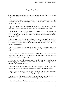### **Know Your Prof**

You already have asked him what you need to do to graduate. Now you need to analyze him. Discover what he likes about research.

You might think your professor is using you to push his career. You might have heard that PhDs are nothing but cheap scientific labor. Guess what? You have to use him too.

Your goal is to have your Professor doing things for you on time, when you need them and without delays. He is such an important part of your PhD.

Think about it. Your professor decides if you can defend your thesis. Your professor gives you green light to submit a paper to a journal. He gives green light to you going to a conference. To you collaborating with somebody outside your research lab.

Your professor will sign the bills of your research expenses. Your professor can allocate for you that piece of equipment you need and that seems to always be kidnaped. You will need a good recommendation letter from him to be accepted in a post-doc.

Seems like a good idea to have a good relationship with your Prof, right? Being in good terms will motivate him to give you a helping hand when you need it.

If you want to go the extra mile you need to think like your Professor. Imagine you have propose a 12-month research project for your next year. You want your Prof to give you green light.

What type of research projects does he find exciting? Maybe he wants innovative projects. Or maybe he prefers his PhDs to walk on solid ground and reuse some old in-house project.

He might want all the coauthors to be from the group, or he might prefer always some external collaborator to give more prestige to the publication.

How does your professor like to be pitched ideas? Via email? In a meeting with slides? Over a coffee? Reading a 20 pages project proposal?

You must know his working habits. If you need a meeting with him it's wise to know when his agenda accommodates meetings with students.

You will need your Professor to read one of your documents and give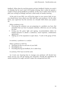feedback. When does he read documents and give feedback? Maybe you send it on Monday but he won't read it till Sunday evening, that is when he spends a couple of hours giving feedback to students. In this case it makes more sense to plan your writing accordingly and have a draft ready on Sunday morning.

At the end of your PhD, you will be the expert in your narrow field. In fact, you should know more about your little field than your professor. On the other hand, your supervisor has the overview of a broader field where your project fits.

What a professor is for:

- Discussing the solutions you are proposing to a problem you have. But remember that you have to propose solutions, otherwise you are wasting his time.
- Giving you the green light and signing: recommendation letters for student bursaries to attend a conference, travel expenses, collaboration agreements.
- Making use of his reputation to open doors, "I work in the group of Prof. …".

In summary, a professor is a catalyst.

What a professor is NOT for:

- Teaching you the ins and outs of your field.
- Deciding for you.
- Providing blazing fast feedback, he is rather busy.

In summary, YOU have to do the work.

As it turns out, knowing how to manage your professor will decide how much success you will get during your doctorate. Provide the ingredients he needs to perform his magic and don't expect the unexpected form him.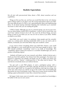## **Realistic Expectations**

We all start with preconceived ideas about a PhD, about ourselves and our capabilities.

Things are the way they are, not how you would like them to be. Let's destroy some of these myths so you don't carry the wrong expectations about your PhD. The most difficult part of a PhD is not generating great ideas and implementing them. It's all about staying motivated. Keeping your motivation up is essential. You know it, that's why you are reading this guide.

A PhD is lonely. Although you are in a research group, you are on your own. You are alone doing a lonely PhD in loneliness. 4 years is not so much time, you won't have "plenty of time to do it all". You won't do all those things, not even being as smart as you think you are. You are not so smart as you think. Neither as stupid as you think.

Most likely you won't make it to professor. Most people quit the scientific career at a certain point. Develop transferable skills so you can land a job in industry. Eventually you will (most likely) stop your academic career.

If you want to know everything about your field then choose a very small field. Although in a very small field you won't find many people to talk to. Your PhD should contribute "something" novel to our body of knowledge. This "something" doesn't need to be massive or a scientific breakthrough. Just care to produce something original.

 Nobody will thank you for your research and efforts. Medical doctors get a thank-you from their patients. Taxi drivers from their passengers. You know your research is important, but nobody will thank you for it. When you finish your PhD you will be a "doctor". Understand this is "the other kind of doctor". The real doctors everybody knows are medical doctors.

You got such a cool PhD project, in such a prestigious group, with a supervisor that is a rising star in the field. Logically, the least you can expect is to cure cancer, right? Well, no. It is good to be ambitious, don't get me wrong. Aim at the stars and at least you will be on top of the world. Fine, but breakthrough discoveries are not at everybody's reach. There are so many factors involved, that making a great achievement is more like a miracle than science.

Be happy if after many years of scientific career you pushed our knowledge a bit further in the race to cure cancer.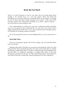## **Read, But Not Much**

There is so much literature to read in your topic that you should forget about reading it all. Instead focus on a few key papers. Those that build the foundations of your field. Don't get overwhelmed by all this papers. You might be one of those that think "before starting to do science, I will read all the necessary papers till I understand everything in my field." Surprise surprise … you will never be ready enough to start.

Your understanding of a field must come from combining reading and doing. How are you going to fully understand the ins and outs if you never tried a single experiment yourself? How, if you never experienced the thought process of choosing one technique instead of another?

Do not be paralysed by the sea of knowledge before you. You cannot know it all.

#### **Read Older Thesis**

Since you are going to spend a bit of time reading, why not read older thesis from your group?

Reading older thesis will help you to prevent reinventing the wheel. You find what has been done and build upon that. You don't want to find after six months developing a method that there is already a standard protocol developed by the previous PhD. An additional advantage of reading older thesis is that they already did a literature review for you. They selected the papers most relevant in your field at that time. Sounds like a good starting point for your reading list.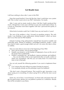# **Get Results Soon**

I still have nothing to show after 2 years in this PhD.

Does that sound familiar? I have felt like that. Most I could show was a poster with "this is what I want to do in my PhD" information. No results.

After 2 years and no meaty results to show I felt like I hadn't produced that much. I though that 2 more years with that success rate would lead to failure. As a result my motivation went down together with how I percieved the quality of my research.

What kind of scientist could I be if I didn't have any real result in 2 years?

The root of the problem is that I focused on grandiose projects. The only results I was thinking of were publications (biiiiig mistake!!), which we know don't occur that soon for PhD students.

Instead of aiming at big achievements I should have focused on smaller and achievable goals. Instead of building a full-fledged predictive model, I could have tried to make a good enough model and use it on some silly data to show its viability.

Here are some ideas to move fast at the beginning of Your PhD:

- Don't aim for perfect, aim for good enough.
- Simplify your projects, cut the number of subprojects, focus on the core of the project that is publishable.
- Produce a prototype fast, get feedback, improve prototype, get feedback, … You can also think of this as fast experiments that can easily confirm or refute your assumptions. Like this you can easily know if to invest more time or not in that path.

You can ask yourself the following question if you want to implement these ideas:

- Can I remove this task without my project loosing its essence?
- Can somebody already use this prototype to give me feedback?

"We don't want a thousand features. That would be ugly. Innovation is not about saying yes to everything. It's about saying NO to all but the most crucial features."

Quite zen, isn't it? Your "crucial features" are those tasks and project that will get you good results. Results you can publish or present at a conference. Results that will be included in your thesis.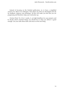Instead of focusing on the finished publication, try to have a simplified version of it. Show it to colleagues. Have them use what you developed and ask for feedback. Improve your prototype. All this will make you feel that you are progressing and therefore, keep your motivation up.

#Action Point: Try it for 2 weeks, A, set tight deadlines for your projects and B, decide which essential things you should do so what you deliver is good enough. Get your tasks done faster and move on the next thing.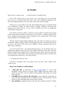# **Be Healthy**

Mens sana in corpore sano  $-$  A sound mind in a healthy body

One of the easiest ways to get a burn out is not taking care of your body. Sure, you are a scientists and your brain is the most important equipment you have. But neglecting the rest of your body will cause severe damage.

Taking care of your body is not only about hitting the gym to sculpt the body of an underwear model. It's about eating, drinking, sleeping, exercising and relaxing your mind. But hey, in any case I wouldn't say no to an underwear model body. Would you?

Let's admit it, during a PhD is common to gain weight. Overtime hours spent at the faculty lead to eating all the junk we can find in a vending machine. We eat at irregular times because of the schedule of our experiments. What about eating cold pizza as breakfast? Done.

We also tend to forget proper drinking. The only times we drink is to put in our bodies coffee of sugary drinks. What happened to the recommended 3 litres of water a day? This is the fast lane to diabetes, obesity, insomnia and lots of other nasty conditions.

I was also in that lane. I was feeling bloated, heavy, out of breath. Have you walked up a flight of stairs and lost your breath? Welcome to the club. My poor health condition led to higher stress which led to poor sleep. My brain was busy for hours when I laid in bed. Next morning I would wake up like a zombie. You can imagine how productive I was the next day.

I was going from hero to zero.

And then I changed. And I am going to tell you how I did. I hope it also works for you.

#### **Tips To Stay Healthy As a PhD Student**

- **Slow-carb diet:** as proposed in [The 4 Hour Body](http://www.nextscientist.com/go/4hourbody/). In every meal (breakfast, lunch, dinner) I ate slow-carbs, veggies and lean protein. The result was not that I lost fat without losing muscle and energy. My mood also improved.
- **I brought my own food to the university:** every morning I prepared my slow-carb lunch and packed it in a tupperware box. This saved me a lot of money on the unhealthy food served at the canteen.
- **Less snacking**: I stopped buying crap from the vending machines. Thanks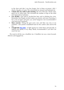to the slow-carb diet I was less hungry, but in those occasions I did, I drank a big glass of water. This entertained my stomach and hydrated me.

- **I drank only one coffee in the morning**: The rest of the day I drank water, green tea or yerba mate. This increased the number of trips to the toilet and improved my hydration.
- **Less alcohol:** I got used to alcohol-free beer and to drinking less wine. Remember that despite alcohol makes you funnier and more charming, it has a lot of sugars and gives you awful hangovers (not recommended if your brain has to perform).
- **More exercise**: Hitting the gym every now and then was new in my schedule. I also joined a basketball team for the cardio's sake and for the fun.
- **I bought this [blue light](http://%20http://www.nextscientist.com/go/light-therapy/)**: to fight against my winter blues and specially, to improve the quality of my sleep. Really recommended if you don't see much the Sun.

The result of all this was a healthier me. A healthier me was a more focused, effective and engaged me.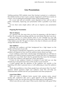## **Give Presentations**

Nothing paralyses PhD students more than having to present at a conference. But nobody teaches us how to give a speech. Supervisors and PI focus mainly on science, not on making the presentation skills of PhD students better.

It's a scary task and our scientific career depends on how well we talk in public. Fortunately, improving your presentation skills is possible if you know how.

Let me share some simple advice with you to improve your presentation skills.

#### **Preparing The Presentation**

#### **Time In Advance**

As a general rule, the more time you have for preparing a talk the better it will be. Try not to push everything until the very last minute. But don't over do it.

The best thing is to create specific times in your schedule for your talk preparation and stick to them. You should aim to have your slides 95% finished 3 days before your talk. The goal is to have a few days to rehearse your talk and change little details in your slides.

#### **Your Audience**

Knowing your audience and their background has a high impact on the quality and structure of your talk.

The amount of introduction required for your field, each technique and each problem will depend on how much the audience knows about your topic.

If your audience comes from a broad range of backgrounds you will have to introduce your field of research saying what it is about and why it is important to do research in your field. Don't take for granted that they know the techniques you used. Your audience will appreciate a basic description.

If most of your audience consists of scientists in your field you can skip introducing it and spend more time on the novelty of your research.

A great speaker gets the attention of the audience very quickly at the beginning with either a personal story or with addressing an issue the audience faces.

Think about problems or fears these people have and answer their 'So what?' question. Which questions might your audience raise? This will help you understand their mindset and see your presentation from their perspective.

#### **Learn From Others**

Talks can come in different forms: journal club, seminar series, annual society talk, conference talk, even a guest speech at the last wedding you attended is a talk. You can learn the most from either great or bad speakers.

Which ones did you really enjoy? What exactly made these talks great? What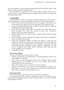were the mistakes in awful research presentations? Why were these talks so bad that you wished yourself somewhere else?

Now be honest to yourself: Do you make similar mistakes when you are nervous? Only by analysing these talks you might already get hints on improving your presentation style.

#### **Creating Slides**

Collecting ideas in slides can produce a chaotic presentation. Do you want a more organized way to create your slides? Start from the end. It goes like this:

- First of all you need to think about the main message of your talk. If you had to sum up your talk in one or two sentences, what would you say?
- Create the acknowledgement slide. It helps to fill up at least one slide and avoid the paralysis by a blank page.
- Create the conclusions slide. Here you should list no more than 3 takehome messages. You could also include no more than 3 things to improve, aka future lines of research.
- Decide which results you want to show. Create the slides with the images of your results.
- Create the slides with the methods that people need to hear to understand how you reached your results.
- Create the introduction slides. In these first slides of your talk you motivate the audience to listen, show the importance of your research and explain the choice of methods that will come later in your talk. The type of introduction slides depends on your audience. Sometimes you will need to introduce your whole field of research, other times just the narrow problem you are tackling.
- Create the title slide.

#### **How To Stay Calmed**

To achieve presentation nirvana there are 4 tips:

- Prepare and rehearse your presentation. A good preparation boosts your self-confidence in general.
- Know what you are presenting. Don't invent anything. Don't present something you are not 100% sure how it was done. Don't present anything that you do not believe in.
- Talk to the audience. Don't just spit out memorized ideas.
- Improve your behavior. As you give your presentation the audience not only listens to you but also analyses your non-verbal communication. Don't worry, everyone communicates this way.

#### **Practice Your Talk**

You should practise your talk on your own and with an audience.

If you practise your talk 30 times it might be too much. You could try to cut your repetitions gradually from one talk to another until you reached a healthy number below 10 times.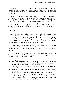Giving your talk in front of an audience (your group members) helps to get honest feedback. Let them shoot at the design of the slides, the content, your articulation, your rhythm and anything they think will improve your presentation.

Memorizing your talk as bullet points also gives your brain a chance to talk in a 'normal' way during your presentation. If you prepare your slides wisely they will guide you through what you want to say and remind you to keep track.

Learning full sentences often ends up sounding like you are reading from a book and if you forget only a few words you will panic.

If you tend to lose track of time practice your talk repeatedly with a timer. After several iterations you will fine-tune your message so it fits in the time you have for your talk.

#### **Giving The Presentation**

You should arrive early to have enough time to talk with the chair of your session. Th chair of a session is the boss running the show. Introduce yourself to the chair and advise on the pronunciation of your name and provide a short bio, so she/he can introduce you. Don't forget to hand over your slides. Ask the chair to test your slides on the computer used for the presentations. Check that the projector displays colors, transitions and videos flawlessly.

Also, arriving early will give you a chance to get used to the room itself and its surroundings. Go on stage and visualize yourself at the time of the presentation. Once you go up the stage for real, it will feel familiar and less intimidating.

Extra tip to reduce panic: Ask something at one of the talks before yours. Doing so gives you the feeling that 'you have already talked in public that day'. This helps to start your talk more relaxed.

#### **Body Language**

- With gestures it's like many things in life: not too much and not too less. Try to find a middle point where you avoid overly dramatic hand gestures or keeping your arms as still as if they are dead.
- Take your time to breath properly in between and don't rush through the talk as if it is a race.
- The most important thing: Smile! Be friendly while talking. Also, smiling relaxes your body because it goes both ways: We smile when we are happy but when we force ourselves to smile we start feeling happy.
- If you get shaky hands avoid using a laser pointer. Instead you can use words like 'In the upper left corner of the figure we see…'. If you do have to use a pointer use two hands, one for the pointer and the other one to hold your wrist; this will reduce the shaking.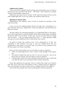#### **Audience/Eye Contact**

If you can't look at people directly during your presentation you can look at the horizon line just above the heads. OR better: Look randomly at people without analysing their expressions.

Make sure you look at every 'section' of the room from time to time (e.g. left side/ middle/right side). So no one within your audience feels left out.

#### **Questions & Answers Time**

Depending on the audience, leave at least 10 minutes for questions at the end of your talk.

If you are too shy looking people directly into the eyes, concentrate on a point between their eyes. People don't realise the difference and still think you keep eye contact.

The best advice for answering questions is to understand them in first place. If you don't understand a question double-check before talking about something the person didn't want to know. In that case you may be very blunt by asking: 'Do you mean….? Are you asking about this or that….?'. These questions might also give you some additional time to think about your answer.

It's good to repeat the question even if you understand it. In this way everybody in the audience can hear it and you double-check that you understood it. Don't panic if you don't have an answer to every question. Even the best expert can't know everything.

Here you have some replies you can use often to answer a question:

- 'That's an interesting point of view, I haven't really thought of this aspect yet'.
- 'We haven't looked into that yet, but it is [on our to-do list / one of our future lines of research / the next idea we want to explore]'.
- 'Unfortunately I don't have time looking for the data now but I could look it up after the talk if you could spare some minutes afterwards'.

Don't take questions too personal. Even if it seems they make your research look silly. Even if the tone and attitude of who is asking seems too aggressive. Stay cool. Be polite. You don't want to start a cat fight in front of the audience.

Most of the times people don't mean anything bad with their questions.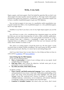# **Write, A Lot, Early**

Papers, papers, and more papers. Don't be fooled by speeches like we don't care about papers but about quality research and the so. The tragic truth is that papers measure how good your research is. Furthermore, many universities require you to have a number of published papers to get your PhD diploma.

You can look at papers in two ways, in a qualitative and/or quantitative way. A good scientist has either a lot of published papers or a few published papers, but of very high impact.

Needless to say that if you have a ton of very high impact papers you are the king.

You will have to write a lot, considering how important papers are and the fact that you are nor born knowing how to write a killer scientific publication. Remember, practice makes perfect. In fact some people recommend to write a fix amount every day, a sentence, a paragraph, a page, you name it. The important here is to adhere to a length of text that you can measure and that easily check whether it is done or not.

This advice on writing papers I found the hard way, the first paper I wrote received close to infinite rounds of feedback. The main reason for this was that I hadn't practiced much. But hey, it is never late to start doing things well.

And if you don't know how to start, there is a lot of help out there on how to write well for **academics** and **non-academics**.

#### **Some Writing Tips For PhD Students**

In any sort of communication:

- **Have a Conversation:** in most of your writings write as you speak. Avoid complicating your language.
- **Find Your Voice:** don't always be objective. Include some part of your personality in your communication.
- **Say what you mean, mean what you say**.

Academic writing:

- **Clear, Concise, and Well-constructed Language**: Typos, spelling mistakes, and grammatical errors leave a bad taste. Meticulous proofreading of the paper and using word processing tools help highlight (red and green squiggly lines) the awkward text. Practice economy in writing; avoid colloquial phrases, contractions, run-on sentences, and extreme verbosity in language. Further, try not to digress away from the topic.
- **Construct A Veritable Content**: talk about what you know, don't invent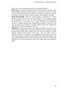things. If you state something, give facts and proper citations.

- **Don't Copy**: In academic writing, there are few intellectual offences more impacting than passing off someone else's content as your own. It is okay to take a leaf from the previous authors' researches and opinions, but do not merely rehash the content without giving a due regard for its origin.
- **Avoid Over-quoting**: Word for word quoting is legitimate in certain situations, but your text will seem borrowed if you over-quote. Insert direct quotations, only when you cannot possibly express the equivalent meaning in your own words. For a major chunk of your document, however, consider paraphrasing. Paraphrasing simplifies a selection, but may not necessarily condense it. Further, make sure that you attribute the original source to the paraphrased content.
- **Summarize**: Confining your paper to an allocated number of words is one of the most daunting tasks if you want to improve your academic writing. Summarizing simply means doing away with all the extraneous content without sacrificing the kernel of the topic. You can follow what is popularly known as Ockham's razor. Applying this process ensures that your final product is terse and focused. This may entail mentioning just 8 case-studies instead of the 32. Or pruning the document to a third of its original size, but more important is that your manuscript meets academic tenets.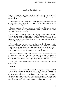## **Use The Right Software**

We have all looked at our iPhone, Kindle or Moleskine and said "how have I been living without you all this time?". You know, that feeling of money well spent on a product.

It makes you feel like a savvy buyer. But buying these products also allows you to do things that you could not do before, or in a more pleasant way, or more efficiently, or all together.

The same happens with apps and software tools for our daily chores. Chores like managing projects, sorting information and sharing documents. We all have to do these things, even scientists.

For such tasks, some tools are changing the way people work around the globe. Some are general tools, others are specific for scientists. What they do have in common is that once you start using them, you won't go back to your old methods. Once you start using them you go paperless, you become a bit more of a digital scientist.

If you are like me, you have spent countless hours downloading, installing and testing software. Software for different purposes like backing up your data, managing your bibliography, taking notes, managing your tasks and on and on. I think I even spent a whole week testing project management software. What a waste!! Specially since my final choice was just a to-do list software.

What we want here is not to waste time finding and learning new software and at the same time, use software that can save time and headaches for us. Therefore we need to use simple tools, that are multiplatform (that work both on your laptop and smartphone) and that sync everything via the Internet.

Please, give a warm round of applause to the 4 tools every PhD student should be using.

#### **Evernote**

Evernote is a second brain for PhD students. It captures, manages and finds all your digital information. Not only this, it syncs everything across your devices. Evernote organizes everything in notes and groups them in notebooks. You could see a notebook as a project or a topic and a note as a piece if information. Notes can be anything from pieces of websites that you clipped, photos you took with your phone, an audio memo you recorded, written notes or a scanned document. Evernote swallows and digests almost anything.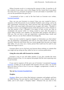Where Evernote excels is in retrieving this amount of data. It searches in all the contents of your notes, even in the images. By this I mean that if your photo has some text in it, Evernote recognizes it as text and makes it searchable. Can you see the possibilities this gives you?

I recommend to have a read at the best book on Evernote ever written, [Evernote Essentials.](http://www.nextscientist.com/go/evernote-essentials/)

How can you use Evernote in science? Have you ever wanted to have a repository of the lab journals of your students? Students come and go, and so do their experiments. Knowing why, when and how they did something is a hard task. This is why many keep a lab journal (yes in paper, still, today). Wouldn't it be better to have a synced digital version of this lab journal to avoid a disaster in case the journal is lost ? Wouldn't it be better to have access any time to somebody's lab journal while it is being created or years after the person is gone? With Evernote your students can document their progress and share it with you. The can have a note per experiment, containing setup, results and images. And you can see them ordered chronologically.

Have you ever wanted to organize snippets of information you find online? You are preparing a presentation and want to cite some articles you found in Scientific American and Wired. But you cannot google them because you forgot their tittles. Or you once saw a funny picture that could now be used in your slides but forgot to save it.

Evernote allows you to clip from your browser those websites or contents that you might end up using one day, either for fun or in serious publications.

#### **Going the extra mile with Evernote for scientists**

Evernote is easy to use and rather intuitive. If you also consider the many different features it has, it is no surprise that people find the most surprising ways to use Evernote.

If you want to squeeze all the juice out of [Evernote](http://www.nextscientist.com/go/evernote-essentials/) I recommend Evernote [Essentials.](http://www.nextscientist.com/go/evernote-essentials/) It helps you to get started with Evernote and use it like a sir. It even gives you ideas on how to use it if you are a blogger, a programmer, a foodie, or whatever you are.

#### *You can [buy Evernote Essentials here](http://www.nextscientist.com/go/evernote-essentials/).*

#### **Dropbox**

[Dropbox](http://db.tt/4FNUaRhE) allows you to share files between computers and gadgets and have an online backup. You just need to install Dropbox in you computer, phone or tablet, and it will create a "Dropbox folder". Whatever file you store in this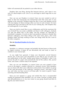folder will automatically be pushed to your other devices.

Dropbox does one thing, sharing files between devices, and it does it very well. It is dead simple to use. Give it a try and forget to attach large files to your emails.

How can you use Dropbox in science? Have you ever wanted to work at home on that next manuscript, but realized that some files were only in your desktop at the university? Dropbox keeps the files in your work desktop synced with your laptop, for those evenings when you have to work at home. No more copying files back and forth at the end of your working day, with Dropbox they are automagically in your laptop.

Have you tried to email files to your collaborators and hit the maximum file size of Gmail? You can create a subfolder and share it with colleagues. Anybody can add and delete files in this folder, and the changes are replicated in everybody's computers. At work we don't use pendrives anymore to transfer files between colleagues. Even those sitting in the same room, place a file in the Dropbox folder and keep working on their own things while the file is sent to the other computers.

#### *You can [download Dropbox for free here.](http://db.tt/4FNUaRhE)*

#### **Mendeley**

Mendeley is a reference manager and probably the best known of these tools for digital scientists. It keeps all you documents tidy and ready to insert as citations in your manuscripts.

As you might have guessed, it keeps your documents synced between devices. Yes, it also syncs your documents to your iPad so you can read your own publications in the toilet. Another great feature of Mendeley is that it can process the pdf of a paper and automatically find all the authors, title, journal name, and create a citation ready to be exported.

How can you use Mendeley in science? Have you ever wanted to have access to the papers a student collected in a literature review? With Mendeley you can share with other users collections of documents. Your student can group all the cited documents in the collection "Literature review" and share it with you, and voila, you have access to all those pdfs. No need to spend 2 hours searching and downloading them.

Have you ever started in a group and wished they had a recommended reading list prepared? With Mendeley you can create a private or public group and add publications to it. Any new comer to your group should read them to dig into your latest research.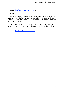#### *You can [download Mendeley for free here](http://www.mendeley.com).*

#### **Wunderlist**

Do not go to bed without writing your to-do list for tomorrow. And do not write it anywhere else but in Wunderlist. Wunderlist is the simplest to-do list you can find. Not only this, it syncs all your tasks across web, different computers, smartphones and tables.

After having a time management crisis where I tried every single to-do list software, I ended up using Wunderlist because it was the one that felt the most natural.

You can [download Wunderlist for free here](http://www.wunderlist.com).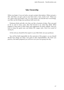# **Take Ownership**

When you begin, if you are lucky, you get a project description. Others just get a title. And then, you get a pet in your back and a "now, work it out". There you are, alone with your project. Yes, it is your project. You decide how to do things, you filter out the things your professor tells you to do.

Professors think and talk a lot, they are like a fountain of ideas. They are paid to do so and in many cases, they feel forced to say what they think. What happens is that many of their ideas and suggestions are plain rubbish. And you have to keep the good ones and delete the crappy ones. Don't be scared of saying no.

At the end you should be the expert in your little field, not your professor.

You will be hold responsible for the outcome of the project, so you should decide how things are done. Get used to take responsibilities, the more you practice, the better prepared you will be to run your own group one day.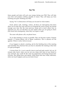## **Say No**

Many people and tasks will suck your energy during your PhD. They will take your time and produce nothing valuable in return. They will keep you from reaching your goal: finishing your PhD.

Saying "No" to distractions will keep you focused on what matters.

Email, phone calls, meetings, visitors, all these are interruptions that don't allow you to enter the zone and focus on finishing the work at hand. You should manage your time like the most precious thing and to teach others how to approach you. You can tell them via auto replies when you are going to check your email and consequently, when they can expect a reply.

The same with phone calls, set phone hours.

Try to skip meetings as much as possible. They are big time wasters. Propose instead a 5 minute phone call or Skype conference. Ask in advance for the agenda. If there is none, find an excuse.

If you happen to attend a meeting, ask for the finishing time of the meeting and remember the chairman that you have to abandon the meeting at that time (if it gets prolonged).

# Action Point: Try to set a specific time to read and reply emails, let's say 30 minutes after lunch, when you are not very sharp with most of your blood in your stomach. You could do the same for paperwork and boring bureaucratic activities, like filling forms and reports. What about that slow Friday afternoon, when not much happens and you are kind of lazy?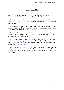## **Have A Social Life**

Don't feel guilty for having a life outside graduate school. You are not just a scientific slave. Develop your multiple interests and hobbies.

Like you read in the "Be Healthy" chapter, join a sports club if that is your hobby. It will keep you fit, release your stress and help you to meet nonscientific folks.

Do activities that allow you to meet people. Be it sports, dancing, acting, language courses, cooking lessons, volunteer work, you name it. Make friends. Go do fun things with them. Enjoy your free time.

The goal is to have a purpose to finish your work today. There has to be something exciting outside the lab for you. That exciting something will make sure you finish your work on time.

Forget those colleagues who pretend to be workaholics. Are they really producing so much quality work by staying till late. I doubt it. For sure not if you are a smart worker who works effectively by following the time management ideas of [The 4 Hour Work Week.](http://www.nextscientist.com/go/4-hour-workweek/)

Don't just wok for the sake if work. Leave work at work. This also means making friends outside your cohort of PhD students. Otherwise you will always end up talking about PhD stuff and hearing that dreadful questions "how is your thesis going?".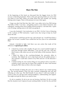# **Share The Pain**

At the beginning of this book we discussed that the biggest factor for PhD success is tolerating frustration. There is this pain growing inside you every time you think of your PhD. When you think about the next months you starting missing some oxygen. There is this pressure on your chest again.

I hope you don't feel like that. But I did. I was rather sick of my PhD during The Valley of Shit. I was busy and getting used to a new field of research, new colleagues, running some never ending research projects, it all took time. I spent a lot of energy making sense of all what was going on.

I was also frustrated. I lost motivation in my PhD. I hit the Crisis of Meaning in the 5 phases of PhD motivation. I spent every day trying to keep my head above the shit.

At that point I could have just let it go, sink and give up. I would have been a quitter, but at least I wouldn't have wasted the last two years of an unfinishable PhD.

Instead, I decided to fight. And there was one action that made all the difference: **I opened up to others.**

- I shared my worries with a buddy. He gave me a much needed insight: he had gone through similar difficulties, I was not the only one. And also, there comes a day when you are not in the Valley of Shit anymore, there is hope.
- I asked for help to the coach/psychologist the university offers to scientists. She helped me out to step back and see the global picture. I also realized I could take control of my PhD and stir it in the direction I wanted.
- I started writing my own science blog. If I was going to fail or succeed, I wanted to leave some tips for future PhD students on what I had learned during the PhD. More on this in the next chapter.

The first benefit of letting the pain out is that it doesn't stay inside burning you. The second benefit is that you hear yourself complaining and will start reflecting on what you. The third benefit (if you share it with your buddy or coach) is that you will get some external feedback, understanding and support. You might even get the advice you need to hear.

It's ok to complain. It's ok to say you are having a bad time. It's ok to accept that the situation won't improve by just working harder. So don't be shy and find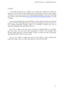a buddy.

A tip when searching for a buddy: try to help your buddy first, before he helps you. It's the abc of networking and social relations. You first give, before receiving. If you want to know more about getting people to like you (and help you), have a read at the book [How to Win Friends and Influence People,](http://www.nextscientist.com/go/win-friends-influence-people/) by Dale Carnegie.

Do not be embarrassed of approaching a coach. Most faculties have special coaches for PhDs. Although they are a sort of psychologists you are not crazy. In fact, loosing motivation during a PhD is so common, coaches have lots of experience helping and fixing PhDs like you.

Now, this is what I want you to do. Go find a colleague PhD, or a postdoc who you trust. Use the social skills presented in How to Win Friends. Start sharing. Keep sharing for several weeks. If after a month you don't feel better, approach the PhD coach in your faculty.

No you are ready to regain the love for your PhD, to start climbing the motivation slope with your informed optimism and finish the PhD.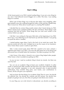# **Start A Blog**

At the lowest point to my PhD I started reading blogs. It was not a new thing for me, since I had followed several bloggers for a while. This time, I was reading blogs for scientists.

What I got of these blogs was to discover that others were struggling, other grad students were also walking through the Valley of Shit and they needed help. Then it struck me. What advice would I give to a starting PhD student?

I decided that my science blog would contain what I learnt during my PhD. What it means to be a graduate student. The do's and don'ts. Those things I wish someone had told me earlier. Those things that you wish were written in the contract before you sign it.

I felt like I was writing for that poor little Julio at the beginning of my PhD. But in fact, I was reflecting on all I had learnt up until that moment. I was giving to myself the advice I needed.

I started putting vague ideas I had in the back of my mind into words. This exercise turned out to be vital. It helped me to see the causes of my frustration. Once I knew these causes I could act upon them.

After I wrote several posts about PhD life I started to be more calmed, I regained some hope in my PhD. I saw how the PhD game has to be played and discovered how to handle better the frustration. This kept me going in my PhD.

I don't know if the advice I shared in my science blog helped other people. What I know is that it avoided me quitting my PhD.

As you can see, I used an academic blog to boost my morale. Are there any uses? You bet!

You can use an academic blog to boost your academic footprint. In other words, to spread more little scientific bits that have your name associated. Right now, your scientific reputation is not only measured only in peer-reviewed publications. Your scientific blog posts, your tweets, your contributions in forums, all this will grow your reputation.

And you know the best thing of an academic blog? That it's yours. You decide the editorial line. You decide the contents and the formats. You decide how people are going to see you, how they are going to read about your science.

In your blog you can write formal or educational, you decide according to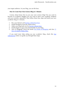your target audience. In your blog, you are the boss.

#### **How To Create Your Own Science Blog In 5 Minutes**

Curious about know how to run your own science blog? Do you want to become an academic blogger? Do you want to grow your academic footprint and your scientific reputation? Then follow these easy steps and build your own academic blog in 5 minutes.

- 1. Buy your domain and **[hosting at BlueHost here](http://www.nextscientist.com/go/bluehost/).**
- 2. Install Wordpress from the cPanel menu.
- 3. Make your blog look nice by [buying a theme here](http://www.nextscientist.com/go/studiopress-themes/).
- 4. Install plugins to give extra functionality to your blog.
- 5. New to blogging? Check the books [First Week Of Blogging](http://www.nextscientist.com/go/guide-first-week-blogging/) and also [31](http://www.nextscientist.com/go/31-days-better-blog/) [Days To Build A Better Blog.](http://www.nextscientist.com/go/31-days-better-blog/)

If you need more help setting up your academic blog, check this [free](http://nextscientist.com/step-1-register-domain-bluehost) [videotutorial](http://nextscientist.com/step-1-register-domain-bluehost) where we guide you through these steps.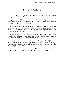# **Think Of PhD Afterlife**

My last bit of advice for you is to look ahead into the future. Dream of what is waiting for you after your PhD.

Right now your PhD might suck. Knowing that at the end your situation will improve can help you to keep going. Do you know what can make it better? Having a sexy plan for your PhD afterlife.

Would you want to work harder to finish sooner if the dream of your life was waiting for you or if it was more of the same pain? Having a nice goal in mind makes you work harder. Having an amazing earth-shattering unbelievable goal makes you do the impossible.

Write down your wild dreams for after your PhD. Anytime your motivation is at its lowest, read again your dreams. Seeing what waits for you at the end of your PhD will cheer you up and help you not to give up.

Maybe you want to move to another country. Or try a different job. Maybe you just want to go on the holidays of your life (like I did) to reward yourself for finishing your PhD. Think of something you can do once you finish your PhD that excite you to the bone.

No matter what your dream for after your PhD is, memorize it. Write it down. Share it. Embrace it. Do research on it. Plan it. Rehearse it. Make it real.